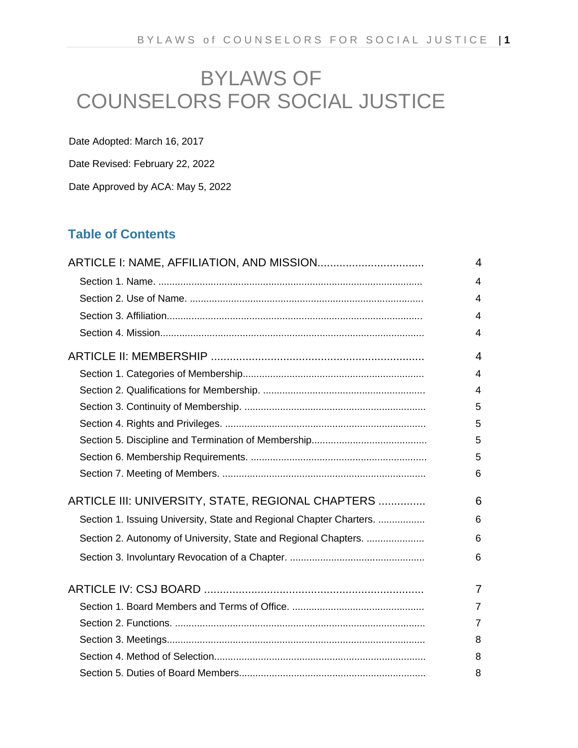# BYLAWS OF COUNSELORS FOR SOCIAL JUSTICE

Date Adopted: March 16, 2017

Date Revised: February 22, 2022

Date Approved by ACA: May 5, 2022

## **Table of Contents**

|                                                                     | $\overline{4}$             |
|---------------------------------------------------------------------|----------------------------|
|                                                                     | $\boldsymbol{\mathcal{L}}$ |
|                                                                     | $\overline{4}$             |
|                                                                     | 4                          |
|                                                                     | 4                          |
|                                                                     | $\overline{4}$             |
|                                                                     | $\overline{4}$             |
|                                                                     | $\boldsymbol{\mathcal{L}}$ |
|                                                                     | 5                          |
|                                                                     | 5                          |
|                                                                     | 5                          |
|                                                                     | 5                          |
|                                                                     | 6                          |
| ARTICLE III: UNIVERSITY, STATE, REGIONAL CHAPTERS                   | 6                          |
| Section 1. Issuing University, State and Regional Chapter Charters. | 6                          |
| Section 2. Autonomy of University, State and Regional Chapters.     | 6                          |
|                                                                     | 6                          |
|                                                                     | $\overline{7}$             |
|                                                                     | $\overline{7}$             |
|                                                                     | $\overline{7}$             |
|                                                                     | 8                          |
|                                                                     | 8                          |
|                                                                     | 8                          |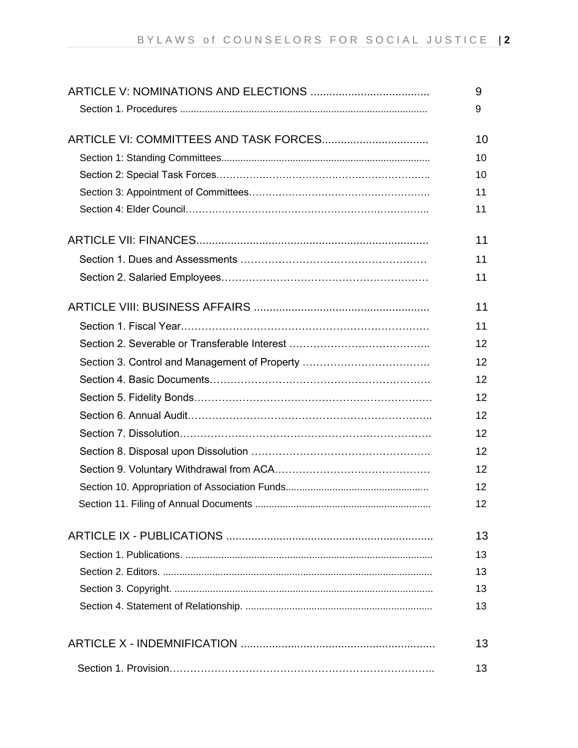|                                               | 9  |
|-----------------------------------------------|----|
|                                               | 9  |
|                                               |    |
|                                               | 10 |
|                                               | 10 |
|                                               | 10 |
|                                               | 11 |
|                                               | 11 |
|                                               | 11 |
|                                               | 11 |
|                                               | 11 |
|                                               | 11 |
|                                               | 11 |
|                                               | 12 |
| Section 3. Control and Management of Property | 12 |
|                                               | 12 |
|                                               | 12 |
|                                               | 12 |
|                                               | 12 |
|                                               | 12 |
|                                               | 12 |
|                                               | 12 |
|                                               | 12 |
|                                               | 13 |
|                                               | 13 |
|                                               | 13 |
|                                               | 13 |
|                                               | 13 |
|                                               | 13 |
|                                               | 13 |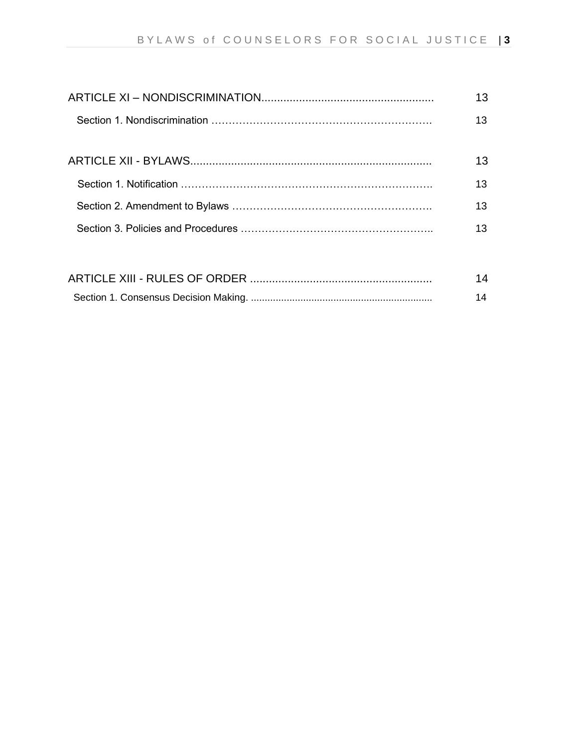| 13 |
|----|
| 13 |
|    |
| 13 |
| 13 |
| 13 |
| 13 |
|    |

| 14 |
|----|
| 14 |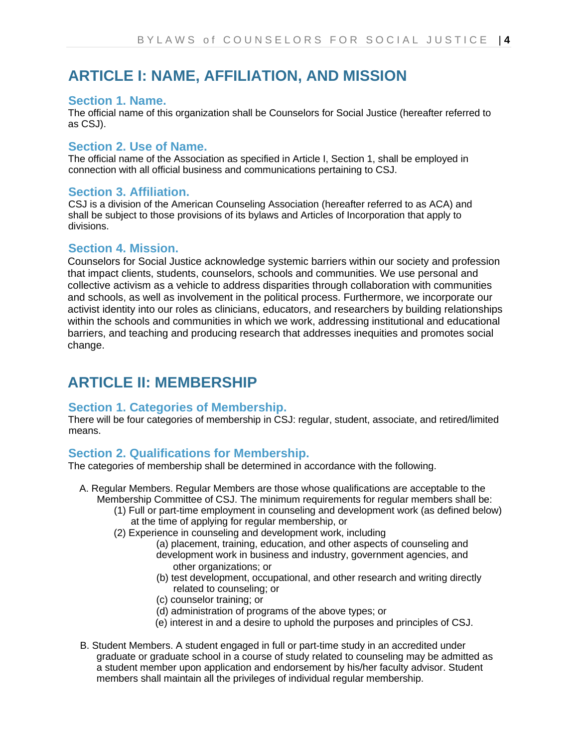## **ARTICLE I: NAME, AFFILIATION, AND MISSION**

### **Section 1. Name.**

The official name of this organization shall be Counselors for Social Justice (hereafter referred to as CSJ).

### **Section 2. Use of Name.**

The official name of the Association as specified in Article I, Section 1, shall be employed in connection with all official business and communications pertaining to CSJ.

### **Section 3. Affiliation.**

CSJ is a division of the American Counseling Association (hereafter referred to as ACA) and shall be subject to those provisions of its bylaws and Articles of Incorporation that apply to divisions.

### **Section 4. Mission.**

Counselors for Social Justice acknowledge systemic barriers within our society and profession that impact clients, students, counselors, schools and communities. We use personal and collective activism as a vehicle to address disparities through collaboration with communities and schools, as well as involvement in the political process. Furthermore, we incorporate our activist identity into our roles as clinicians, educators, and researchers by building relationships within the schools and communities in which we work, addressing institutional and educational barriers, and teaching and producing research that addresses inequities and promotes social change.

## **ARTICLE II: MEMBERSHIP**

### **Section 1. Categories of Membership.**

There will be four categories of membership in CSJ: regular, student, associate, and retired/limited means.

### **Section 2. Qualifications for Membership.**

The categories of membership shall be determined in accordance with the following.

- A. Regular Members. Regular Members are those whose qualifications are acceptable to the Membership Committee of CSJ. The minimum requirements for regular members shall be:
	- (1) Full or part-time employment in counseling and development work (as defined below) at the time of applying for regular membership, or
	- (2) Experience in counseling and development work, including
		- (a) placement, training, education, and other aspects of counseling and development work in business and industry, government agencies, and other organizations; or
		- (b) test development, occupational, and other research and writing directly related to counseling; or
		- (c) counselor training; or
		- (d) administration of programs of the above types; or
		- (e) interest in and a desire to uphold the purposes and principles of CSJ.
- B. Student Members. A student engaged in full or part-time study in an accredited under graduate or graduate school in a course of study related to counseling may be admitted as a student member upon application and endorsement by his/her faculty advisor. Student members shall maintain all the privileges of individual regular membership.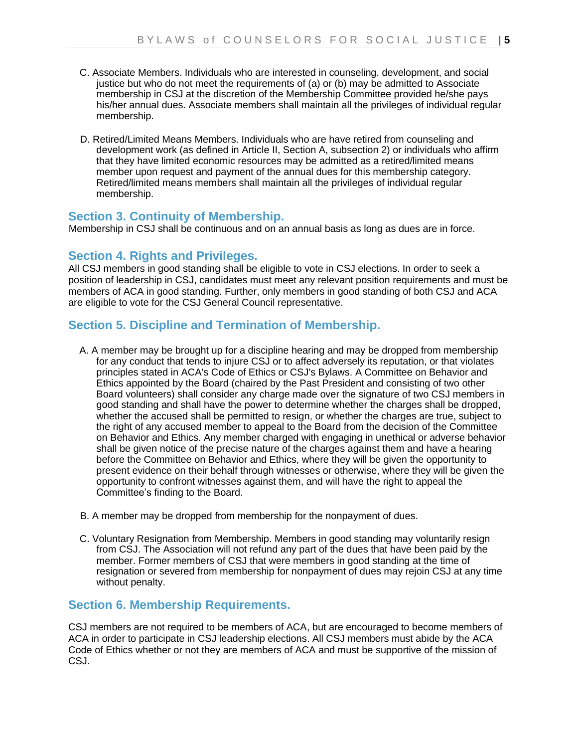- C. Associate Members. Individuals who are interested in counseling, development, and social justice but who do not meet the requirements of (a) or (b) may be admitted to Associate membership in CSJ at the discretion of the Membership Committee provided he/she pays his/her annual dues. Associate members shall maintain all the privileges of individual regular membership.
- D. Retired/Limited Means Members. Individuals who are have retired from counseling and development work (as defined in Article II, Section A, subsection 2) or individuals who affirm that they have limited economic resources may be admitted as a retired/limited means member upon request and payment of the annual dues for this membership category. Retired/limited means members shall maintain all the privileges of individual regular membership.

### **Section 3. Continuity of Membership.**

Membership in CSJ shall be continuous and on an annual basis as long as dues are in force.

### **Section 4. Rights and Privileges.**

All CSJ members in good standing shall be eligible to vote in CSJ elections. In order to seek a position of leadership in CSJ, candidates must meet any relevant position requirements and must be members of ACA in good standing. Further, only members in good standing of both CSJ and ACA are eligible to vote for the CSJ General Council representative.

### **Section 5. Discipline and Termination of Membership.**

- A. A member may be brought up for a discipline hearing and may be dropped from membership for any conduct that tends to injure CSJ or to affect adversely its reputation, or that violates principles stated in ACA's Code of Ethics or CSJ's Bylaws. A Committee on Behavior and Ethics appointed by the Board (chaired by the Past President and consisting of two other Board volunteers) shall consider any charge made over the signature of two CSJ members in good standing and shall have the power to determine whether the charges shall be dropped, whether the accused shall be permitted to resign, or whether the charges are true, subject to the right of any accused member to appeal to the Board from the decision of the Committee on Behavior and Ethics. Any member charged with engaging in unethical or adverse behavior shall be given notice of the precise nature of the charges against them and have a hearing before the Committee on Behavior and Ethics, where they will be given the opportunity to present evidence on their behalf through witnesses or otherwise, where they will be given the opportunity to confront witnesses against them, and will have the right to appeal the Committee's finding to the Board.
- B. A member may be dropped from membership for the nonpayment of dues.
- C. Voluntary Resignation from Membership. Members in good standing may voluntarily resign from CSJ. The Association will not refund any part of the dues that have been paid by the member. Former members of CSJ that were members in good standing at the time of resignation or severed from membership for nonpayment of dues may rejoin CSJ at any time without penalty.

### **Section 6. Membership Requirements.**

CSJ members are not required to be members of ACA, but are encouraged to become members of ACA in order to participate in CSJ leadership elections. All CSJ members must abide by the ACA Code of Ethics whether or not they are members of ACA and must be supportive of the mission of CSJ.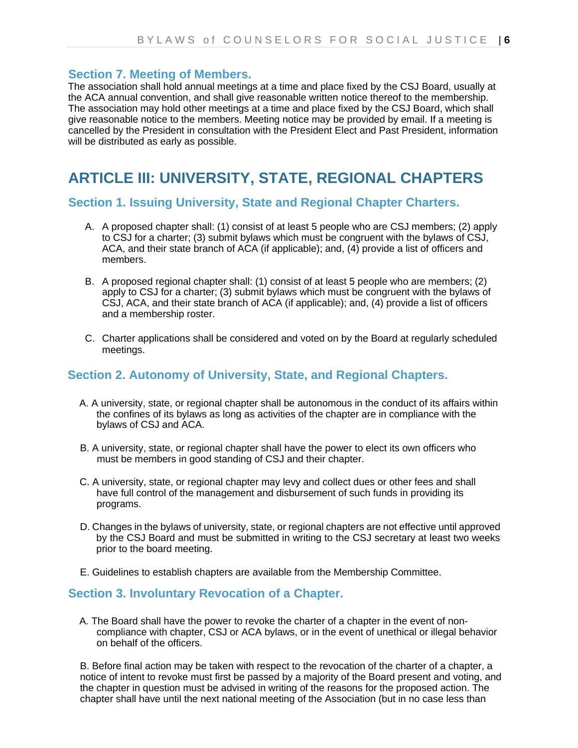### **Section 7. Meeting of Members.**

The association shall hold annual meetings at a time and place fixed by the CSJ Board, usually at the ACA annual convention, and shall give reasonable written notice thereof to the membership. The association may hold other meetings at a time and place fixed by the CSJ Board, which shall give reasonable notice to the members. Meeting notice may be provided by email. If a meeting is cancelled by the President in consultation with the President Elect and Past President, information will be distributed as early as possible.

## **ARTICLE III: UNIVERSITY, STATE, REGIONAL CHAPTERS**

#### **Section 1. Issuing University, State and Regional Chapter Charters.**

- A. A proposed chapter shall: (1) consist of at least 5 people who are CSJ members; (2) apply to CSJ for a charter; (3) submit bylaws which must be congruent with the bylaws of CSJ, ACA, and their state branch of ACA (if applicable); and, (4) provide a list of officers and members.
- B. A proposed regional chapter shall: (1) consist of at least 5 people who are members; (2) apply to CSJ for a charter; (3) submit bylaws which must be congruent with the bylaws of CSJ, ACA, and their state branch of ACA (if applicable); and, (4) provide a list of officers and a membership roster.
- C. Charter applications shall be considered and voted on by the Board at regularly scheduled meetings.

### **Section 2. Autonomy of University, State, and Regional Chapters.**

- A. A university, state, or regional chapter shall be autonomous in the conduct of its affairs within the confines of its bylaws as long as activities of the chapter are in compliance with the bylaws of CSJ and ACA.
- B. A university, state, or regional chapter shall have the power to elect its own officers who must be members in good standing of CSJ and their chapter.
- C. A university, state, or regional chapter may levy and collect dues or other fees and shall have full control of the management and disbursement of such funds in providing its programs.
- D. Changes in the bylaws of university, state, or regional chapters are not effective until approved by the CSJ Board and must be submitted in writing to the CSJ secretary at least two weeks prior to the board meeting.
- E. Guidelines to establish chapters are available from the Membership Committee.

### **Section 3. Involuntary Revocation of a Chapter.**

A. The Board shall have the power to revoke the charter of a chapter in the event of noncompliance with chapter, CSJ or ACA bylaws, or in the event of unethical or illegal behavior on behalf of the officers.

B. Before final action may be taken with respect to the revocation of the charter of a chapter, a notice of intent to revoke must first be passed by a majority of the Board present and voting, and the chapter in question must be advised in writing of the reasons for the proposed action. The chapter shall have until the next national meeting of the Association (but in no case less than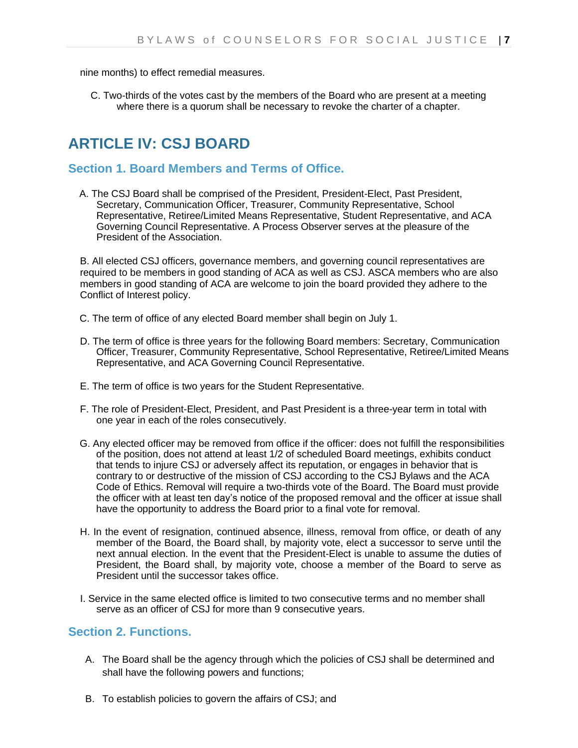nine months) to effect remedial measures.

C. Two-thirds of the votes cast by the members of the Board who are present at a meeting where there is a quorum shall be necessary to revoke the charter of a chapter.

## **ARTICLE IV: CSJ BOARD**

### **Section 1. Board Members and Terms of Office.**

A. The CSJ Board shall be comprised of the President, President-Elect, Past President, Secretary, Communication Officer, Treasurer, Community Representative, School Representative, Retiree/Limited Means Representative, Student Representative, and ACA Governing Council Representative. A Process Observer serves at the pleasure of the President of the Association.

B. All elected CSJ officers, governance members, and governing council representatives are required to be members in good standing of ACA as well as CSJ. ASCA members who are also members in good standing of ACA are welcome to join the board provided they adhere to the Conflict of Interest policy.

- C. The term of office of any elected Board member shall begin on July 1.
- D. The term of office is three years for the following Board members: Secretary, Communication Officer, Treasurer, Community Representative, School Representative, Retiree/Limited Means Representative, and ACA Governing Council Representative.
- E. The term of office is two years for the Student Representative.
- F. The role of President-Elect, President, and Past President is a three-year term in total with one year in each of the roles consecutively.
- G. Any elected officer may be removed from office if the officer: does not fulfill the responsibilities of the position, does not attend at least 1/2 of scheduled Board meetings, exhibits conduct that tends to injure CSJ or adversely affect its reputation, or engages in behavior that is contrary to or destructive of the mission of CSJ according to the CSJ Bylaws and the ACA Code of Ethics. Removal will require a two-thirds vote of the Board. The Board must provide the officer with at least ten day's notice of the proposed removal and the officer at issue shall have the opportunity to address the Board prior to a final vote for removal.
- H. In the event of resignation, continued absence, illness, removal from office, or death of any member of the Board, the Board shall, by majority vote, elect a successor to serve until the next annual election. In the event that the President-Elect is unable to assume the duties of President, the Board shall, by majority vote, choose a member of the Board to serve as President until the successor takes office.
- I. Service in the same elected office is limited to two consecutive terms and no member shall serve as an officer of CSJ for more than 9 consecutive years.

### **Section 2. Functions.**

- A. The Board shall be the agency through which the policies of CSJ shall be determined and shall have the following powers and functions;
- B. To establish policies to govern the affairs of CSJ; and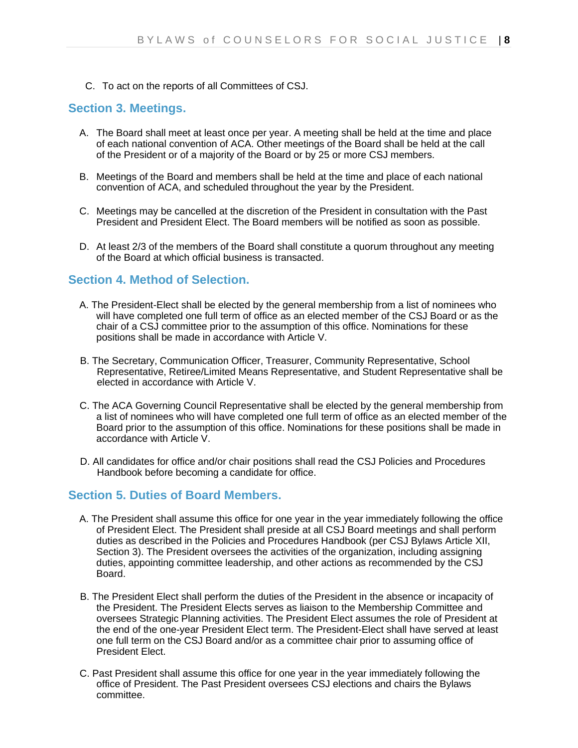C. To act on the reports of all Committees of CSJ.

#### **Section 3. Meetings.**

- A. The Board shall meet at least once per year. A meeting shall be held at the time and place of each national convention of ACA. Other meetings of the Board shall be held at the call of the President or of a majority of the Board or by 25 or more CSJ members.
- B. Meetings of the Board and members shall be held at the time and place of each national convention of ACA, and scheduled throughout the year by the President.
- C. Meetings may be cancelled at the discretion of the President in consultation with the Past President and President Elect. The Board members will be notified as soon as possible.
- D. At least 2/3 of the members of the Board shall constitute a quorum throughout any meeting of the Board at which official business is transacted.

### **Section 4. Method of Selection.**

- A. The President-Elect shall be elected by the general membership from a list of nominees who will have completed one full term of office as an elected member of the CSJ Board or as the chair of a CSJ committee prior to the assumption of this office. Nominations for these positions shall be made in accordance with Article V.
- B. The Secretary, Communication Officer, Treasurer, Community Representative, School Representative, Retiree/Limited Means Representative, and Student Representative shall be elected in accordance with Article V.
- C. The ACA Governing Council Representative shall be elected by the general membership from a list of nominees who will have completed one full term of office as an elected member of the Board prior to the assumption of this office. Nominations for these positions shall be made in accordance with Article V.
- D. All candidates for office and/or chair positions shall read the CSJ Policies and Procedures Handbook before becoming a candidate for office.

### **Section 5. Duties of Board Members.**

- A. The President shall assume this office for one year in the year immediately following the office of President Elect. The President shall preside at all CSJ Board meetings and shall perform duties as described in the Policies and Procedures Handbook (per CSJ Bylaws Article XII, Section 3). The President oversees the activities of the organization, including assigning duties, appointing committee leadership, and other actions as recommended by the CSJ Board.
- B. The President Elect shall perform the duties of the President in the absence or incapacity of the President. The President Elects serves as liaison to the Membership Committee and oversees Strategic Planning activities. The President Elect assumes the role of President at the end of the one-year President Elect term. The President-Elect shall have served at least one full term on the CSJ Board and/or as a committee chair prior to assuming office of President Elect.
- C. Past President shall assume this office for one year in the year immediately following the office of President. The Past President oversees CSJ elections and chairs the Bylaws committee.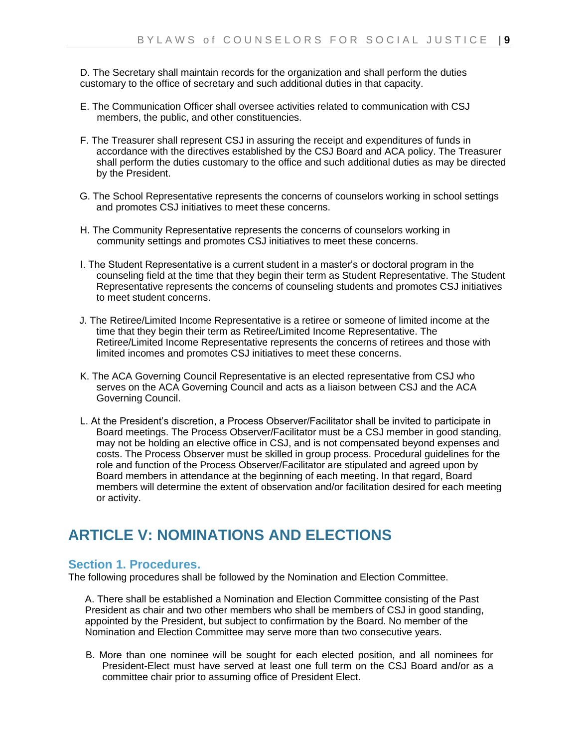D. The Secretary shall maintain records for the organization and shall perform the duties customary to the office of secretary and such additional duties in that capacity.

- E. The Communication Officer shall oversee activities related to communication with CSJ members, the public, and other constituencies.
- F. The Treasurer shall represent CSJ in assuring the receipt and expenditures of funds in accordance with the directives established by the CSJ Board and ACA policy. The Treasurer shall perform the duties customary to the office and such additional duties as may be directed by the President.
- G. The School Representative represents the concerns of counselors working in school settings and promotes CSJ initiatives to meet these concerns.
- H. The Community Representative represents the concerns of counselors working in community settings and promotes CSJ initiatives to meet these concerns.
- I. The Student Representative is a current student in a master's or doctoral program in the counseling field at the time that they begin their term as Student Representative. The Student Representative represents the concerns of counseling students and promotes CSJ initiatives to meet student concerns.
- J. The Retiree/Limited Income Representative is a retiree or someone of limited income at the time that they begin their term as Retiree/Limited Income Representative. The Retiree/Limited Income Representative represents the concerns of retirees and those with limited incomes and promotes CSJ initiatives to meet these concerns.
- K. The ACA Governing Council Representative is an elected representative from CSJ who serves on the ACA Governing Council and acts as a liaison between CSJ and the ACA Governing Council.
- L. At the President's discretion, a Process Observer/Facilitator shall be invited to participate in Board meetings. The Process Observer/Facilitator must be a CSJ member in good standing, may not be holding an elective office in CSJ, and is not compensated beyond expenses and costs. The Process Observer must be skilled in group process. Procedural guidelines for the role and function of the Process Observer/Facilitator are stipulated and agreed upon by Board members in attendance at the beginning of each meeting. In that regard, Board members will determine the extent of observation and/or facilitation desired for each meeting or activity.

## **ARTICLE V: NOMINATIONS AND ELECTIONS**

### **Section 1. Procedures.**

The following procedures shall be followed by the Nomination and Election Committee.

A. There shall be established a Nomination and Election Committee consisting of the Past President as chair and two other members who shall be members of CSJ in good standing, appointed by the President, but subject to confirmation by the Board. No member of the Nomination and Election Committee may serve more than two consecutive years.

B. More than one nominee will be sought for each elected position, and all nominees for President-Elect must have served at least one full term on the CSJ Board and/or as a committee chair prior to assuming office of President Elect.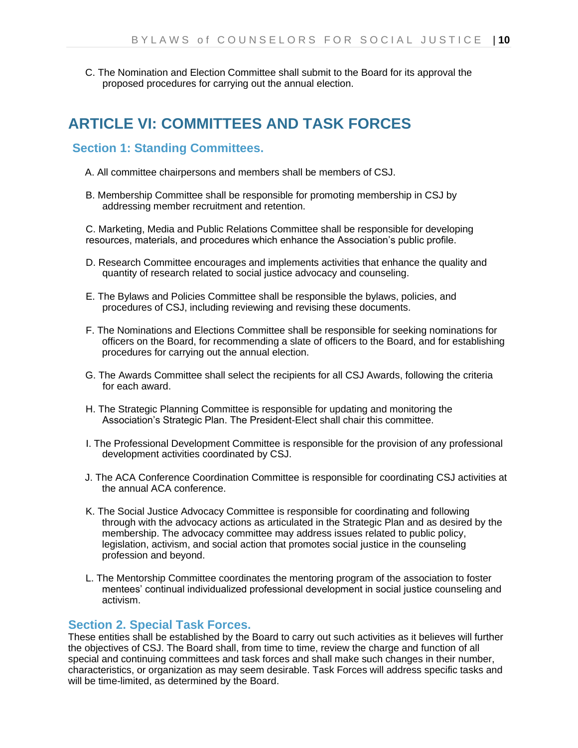C. The Nomination and Election Committee shall submit to the Board for its approval the proposed procedures for carrying out the annual election.

## **ARTICLE VI: COMMITTEES AND TASK FORCES**

### **Section 1: Standing Committees.**

- A. All committee chairpersons and members shall be members of CSJ.
- B. Membership Committee shall be responsible for promoting membership in CSJ by addressing member recruitment and retention.

C. Marketing, Media and Public Relations Committee shall be responsible for developing resources, materials, and procedures which enhance the Association's public profile.

- D. Research Committee encourages and implements activities that enhance the quality and quantity of research related to social justice advocacy and counseling.
- E. The Bylaws and Policies Committee shall be responsible the bylaws, policies, and procedures of CSJ, including reviewing and revising these documents.
- F. The Nominations and Elections Committee shall be responsible for seeking nominations for officers on the Board, for recommending a slate of officers to the Board, and for establishing procedures for carrying out the annual election.
- G. The Awards Committee shall select the recipients for all CSJ Awards, following the criteria for each award.
- H. The Strategic Planning Committee is responsible for updating and monitoring the Association's Strategic Plan. The President-Elect shall chair this committee.
- I. The Professional Development Committee is responsible for the provision of any professional development activities coordinated by CSJ.
- J. The ACA Conference Coordination Committee is responsible for coordinating CSJ activities at the annual ACA conference.
- K. The Social Justice Advocacy Committee is responsible for coordinating and following through with the advocacy actions as articulated in the Strategic Plan and as desired by the membership. The advocacy committee may address issues related to public policy, legislation, activism, and social action that promotes social justice in the counseling profession and beyond.
- L. The Mentorship Committee coordinates the mentoring program of the association to foster mentees' continual individualized professional development in social justice counseling and activism.

#### **Section 2. Special Task Forces.**

These entities shall be established by the Board to carry out such activities as it believes will further the objectives of CSJ. The Board shall, from time to time, review the charge and function of all special and continuing committees and task forces and shall make such changes in their number, characteristics, or organization as may seem desirable. Task Forces will address specific tasks and will be time-limited, as determined by the Board.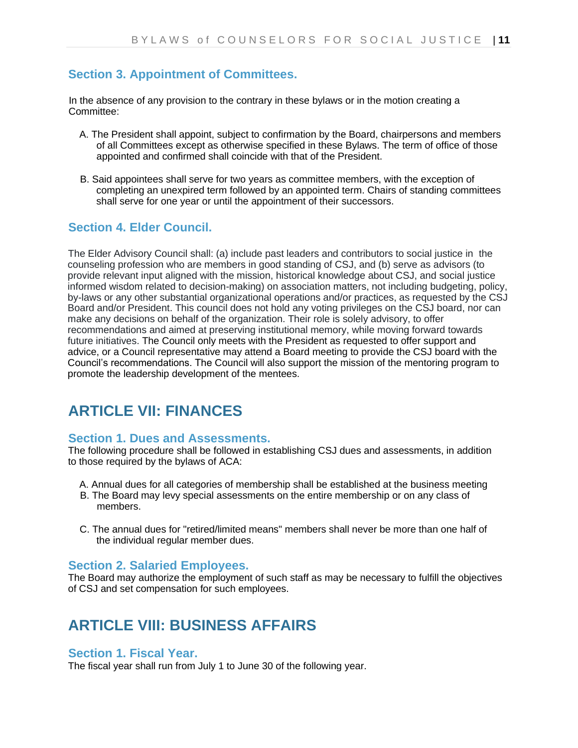## **Section 3. Appointment of Committees.**

In the absence of any provision to the contrary in these bylaws or in the motion creating a Committee:

- A. The President shall appoint, subject to confirmation by the Board, chairpersons and members of all Committees except as otherwise specified in these Bylaws. The term of office of those appointed and confirmed shall coincide with that of the President.
- B. Said appointees shall serve for two years as committee members, with the exception of completing an unexpired term followed by an appointed term. Chairs of standing committees shall serve for one year or until the appointment of their successors.

## **Section 4. Elder Council.**

The Elder Advisory Council shall: (a) include past leaders and contributors to social justice in the counseling profession who are members in good standing of CSJ, and (b) serve as advisors (to provide relevant input aligned with the mission, historical knowledge about CSJ, and social justice informed wisdom related to decision-making) on association matters, not including budgeting, policy, by-laws or any other substantial organizational operations and/or practices, as requested by the CSJ Board and/or President. This council does not hold any voting privileges on the CSJ board, nor can make any decisions on behalf of the organization. Their role is solely advisory, to offer recommendations and aimed at preserving institutional memory, while moving forward towards future initiatives. The Council only meets with the President as requested to offer support and advice, or a Council representative may attend a Board meeting to provide the CSJ board with the Council's recommendations. The Council will also support the mission of the mentoring program to promote the leadership development of the mentees.

## **ARTICLE VII: FINANCES**

#### **Section 1. Dues and Assessments.**

The following procedure shall be followed in establishing CSJ dues and assessments, in addition to those required by the bylaws of ACA:

- A. Annual dues for all categories of membership shall be established at the business meeting
- B. The Board may levy special assessments on the entire membership or on any class of members.
- C. The annual dues for "retired/limited means" members shall never be more than one half of the individual regular member dues.

### **Section 2. Salaried Employees.**

The Board may authorize the employment of such staff as may be necessary to fulfill the objectives of CSJ and set compensation for such employees.

## **ARTICLE VIII: BUSINESS AFFAIRS**

### **Section 1. Fiscal Year.**

The fiscal year shall run from July 1 to June 30 of the following year.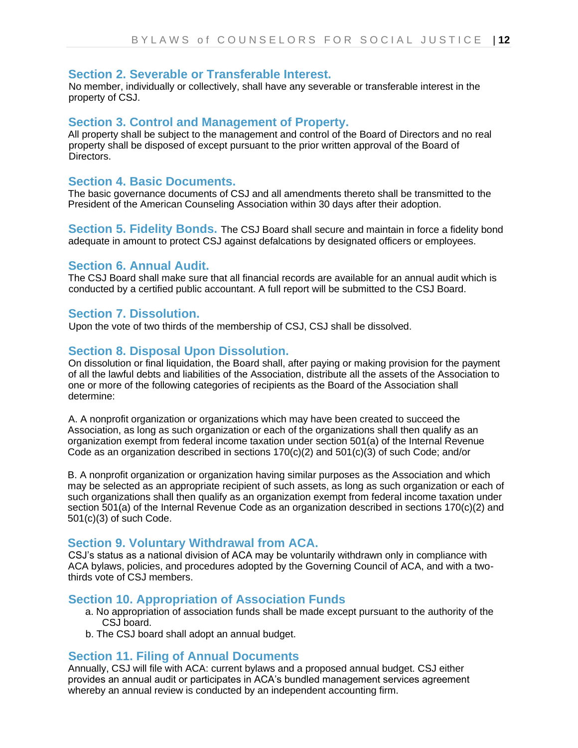#### **Section 2. Severable or Transferable Interest.**

No member, individually or collectively, shall have any severable or transferable interest in the property of CSJ.

#### **Section 3. Control and Management of Property.**

All property shall be subject to the management and control of the Board of Directors and no real property shall be disposed of except pursuant to the prior written approval of the Board of Directors.

#### **Section 4. Basic Documents.**

The basic governance documents of CSJ and all amendments thereto shall be transmitted to the President of the American Counseling Association within 30 days after their adoption.

**Section 5. Fidelity Bonds.** The CSJ Board shall secure and maintain in force a fidelity bond adequate in amount to protect CSJ against defalcations by designated officers or employees.

#### **Section 6. Annual Audit.**

The CSJ Board shall make sure that all financial records are available for an annual audit which is conducted by a certified public accountant. A full report will be submitted to the CSJ Board.

#### **Section 7. Dissolution.**

Upon the vote of two thirds of the membership of CSJ, CSJ shall be dissolved.

#### **Section 8. Disposal Upon Dissolution.**

On dissolution or final liquidation, the Board shall, after paying or making provision for the payment of all the lawful debts and liabilities of the Association, distribute all the assets of the Association to one or more of the following categories of recipients as the Board of the Association shall determine:

A. A nonprofit organization or organizations which may have been created to succeed the Association, as long as such organization or each of the organizations shall then qualify as an organization exempt from federal income taxation under section 501(a) of the Internal Revenue Code as an organization described in sections 170(c)(2) and 501(c)(3) of such Code; and/or

B. A nonprofit organization or organization having similar purposes as the Association and which may be selected as an appropriate recipient of such assets, as long as such organization or each of such organizations shall then qualify as an organization exempt from federal income taxation under section 501(a) of the Internal Revenue Code as an organization described in sections 170(c)(2) and 501(c)(3) of such Code.

#### **Section 9. Voluntary Withdrawal from ACA.**

CSJ's status as a national division of ACA may be voluntarily withdrawn only in compliance with ACA bylaws, policies, and procedures adopted by the Governing Council of ACA, and with a twothirds vote of CSJ members.

#### **Section 10. Appropriation of Association Funds**

- a. No appropriation of association funds shall be made except pursuant to the authority of the CSJ board.
- b. The CSJ board shall adopt an annual budget.

#### **Section 11. Filing of Annual Documents**

Annually, CSJ will file with ACA: current bylaws and a proposed annual budget. CSJ either provides an annual audit or participates in ACA's bundled management services agreement whereby an annual review is conducted by an independent accounting firm.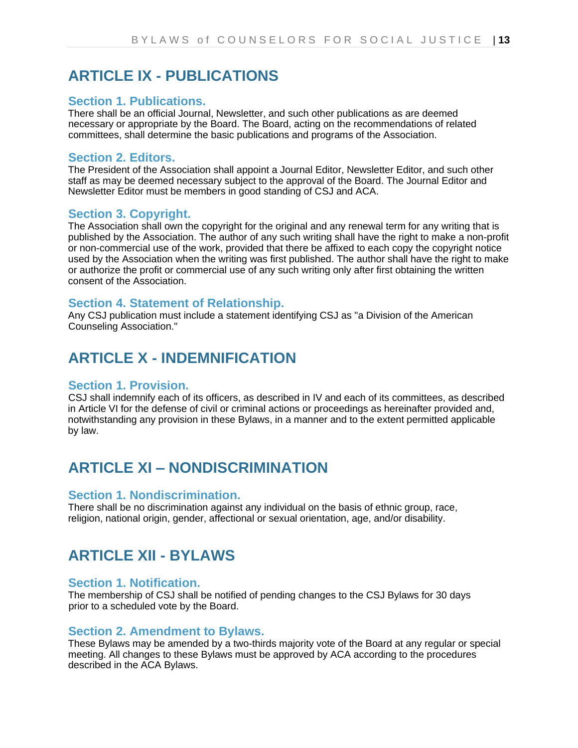## **ARTICLE IX - PUBLICATIONS**

#### **Section 1. Publications.**

There shall be an official Journal, Newsletter, and such other publications as are deemed necessary or appropriate by the Board. The Board, acting on the recommendations of related committees, shall determine the basic publications and programs of the Association.

#### **Section 2. Editors.**

The President of the Association shall appoint a Journal Editor, Newsletter Editor, and such other staff as may be deemed necessary subject to the approval of the Board. The Journal Editor and Newsletter Editor must be members in good standing of CSJ and ACA.

#### **Section 3. Copyright.**

The Association shall own the copyright for the original and any renewal term for any writing that is published by the Association. The author of any such writing shall have the right to make a non-profit or non-commercial use of the work, provided that there be affixed to each copy the copyright notice used by the Association when the writing was first published. The author shall have the right to make or authorize the profit or commercial use of any such writing only after first obtaining the written consent of the Association.

#### **Section 4. Statement of Relationship.**

Any CSJ publication must include a statement identifying CSJ as "a Division of the American Counseling Association."

## **ARTICLE X - INDEMNIFICATION**

#### **Section 1. Provision.**

CSJ shall indemnify each of its officers, as described in IV and each of its committees, as described in Article VI for the defense of civil or criminal actions or proceedings as hereinafter provided and, notwithstanding any provision in these Bylaws, in a manner and to the extent permitted applicable by law.

## **ARTICLE XI – NONDISCRIMINATION**

#### **Section 1. Nondiscrimination.**

There shall be no discrimination against any individual on the basis of ethnic group, race, religion, national origin, gender, affectional or sexual orientation, age, and/or disability.

## **ARTICLE XII - BYLAWS**

#### **Section 1. Notification.**

The membership of CSJ shall be notified of pending changes to the CSJ Bylaws for 30 days prior to a scheduled vote by the Board.

#### **Section 2. Amendment to Bylaws.**

These Bylaws may be amended by a two-thirds majority vote of the Board at any regular or special meeting. All changes to these Bylaws must be approved by ACA according to the procedures described in the ACA Bylaws.